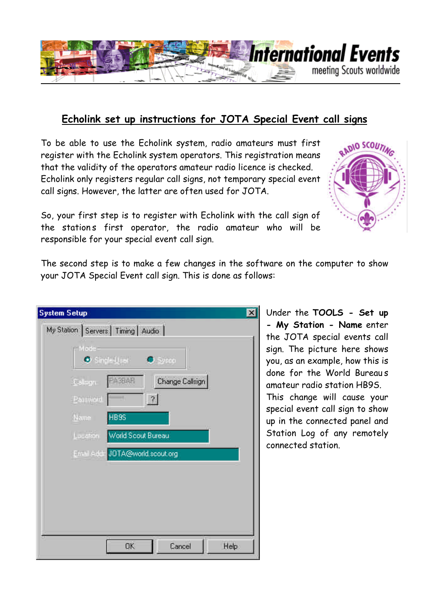

## **Echolink set up instructions for JOTA Special Event call signs**

To be able to use the Echolink system, radio amateurs must first register with the Echolink system operators. This registration means that the validity of the operators amateur radio licence is checked. Echolink only registers regular call signs, not temporary special event call signs. However, the latter are often used for JOTA.



So, your first step is to register with Echolink with the call sign of the stations first operator, the radio amateur who will be responsible for your special event call sign.

The second step is to make a few changes in the software on the computer to show your JOTA Special Event call sign. This is done as follows:

| <b>System Setup</b> |                                                  | $\overline{\mathbf{x}}$ |
|---------------------|--------------------------------------------------|-------------------------|
|                     | My Station   Servers   Timing   Audio            |                         |
| -Made-              | $\bullet$ Similarly $\bullet$<br>$\bullet$ Sysce |                         |
| Gallegn             | <b>A3BAR</b><br>Change Callsign                  |                         |
| Parment             | $\overline{z}$                                   |                         |
| Name                | HB9S                                             |                         |
| Location            | World Scout Bureau                               |                         |
|                     | Email Addr JOTA@world.scout.org                  |                         |
|                     |                                                  |                         |
|                     |                                                  |                         |
|                     |                                                  |                         |
|                     |                                                  |                         |
|                     | <b>OK</b><br>Cancel                              | Help                    |

Under the **TOOLS - Set up - My Station - Name** enter the JOTA special events call sign. The picture here shows you, as an example, how this is done for the World Bureaus amateur radio station HB9S. This change will cause your special event call sign to show up in the connected panel and Station Log of any remotely connected station.